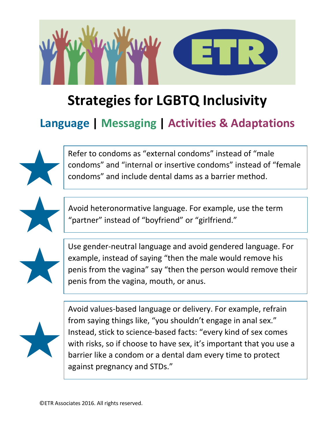

## **Strategies for LGBTQ Inclusivity**

## **Language | Messaging | Activities & Adaptations**

Refer to condoms as "external condoms" instead of "male condoms" and "internal or insertive condoms" instead of "female condoms" and include dental dams as a barrier method.



Avoid heteronormative language. For example, use the term "partner" instead of "boyfriend" or "girlfriend."



Use gender-neutral language and avoid gendered language. For example, instead of saying "then the male would remove his penis from the vagina" say "then the person would remove their penis from the vagina, mouth, or anus.



Avoid values-based language or delivery. For example, refrain from saying things like, "you shouldn't engage in anal sex." Instead, stick to science-based facts: "every kind of sex comes with risks, so if choose to have sex, it's important that you use a barrier like a condom or a dental dam every time to protect against pregnancy and STDs."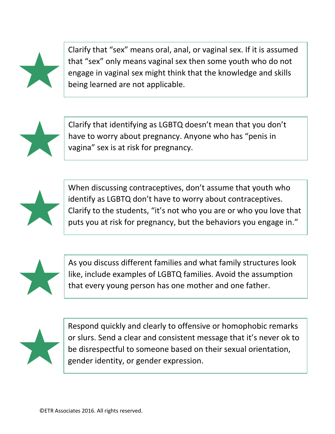

Clarify that "sex" means oral, anal, or vaginal sex. If it is assumed that "sex" only means vaginal sex then some youth who do not engage in vaginal sex might think that the knowledge and skills being learned are not applicable.



Clarify that identifying as LGBTQ doesn't mean that you don't have to worry about pregnancy. Anyone who has "penis in vagina" sex is at risk for pregnancy.



When discussing contraceptives, don't assume that youth who identify as LGBTQ don't have to worry about contraceptives. Clarify to the students, "it's not who you are or who you love that puts you at risk for pregnancy, but the behaviors you engage in."



As you discuss different families and what family structures look like, include examples of LGBTQ families. Avoid the assumption that every young person has one mother and one father.



Respond quickly and clearly to offensive or homophobic remarks or slurs. Send a clear and consistent message that it's never ok to be disrespectful to someone based on their sexual orientation, gender identity, or gender expression.